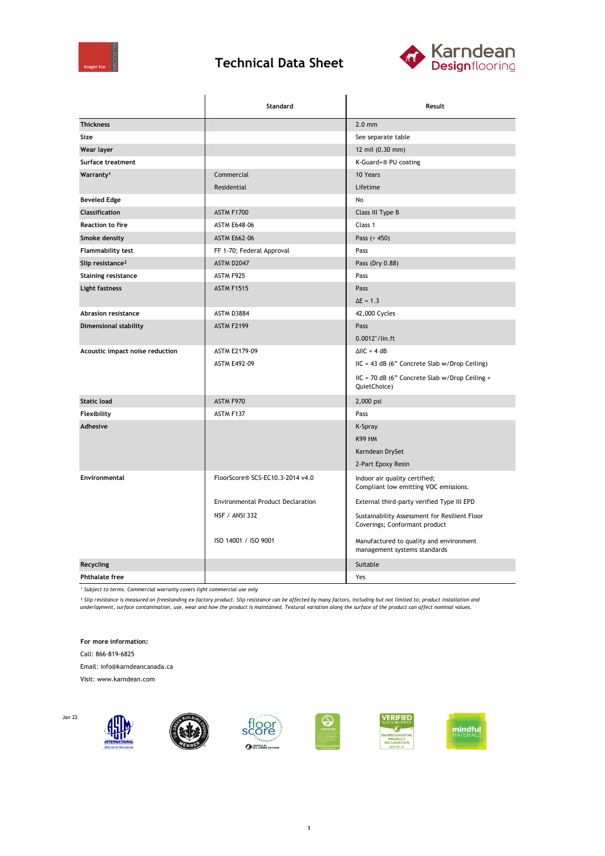

## **Technical Data Sheet**



|                                 | Standard                                 | Result                                                                  |
|---------------------------------|------------------------------------------|-------------------------------------------------------------------------|
| <b>Thickness</b>                |                                          | $2.0$ mm                                                                |
| Size                            |                                          | See separate table                                                      |
| Wear layer                      |                                          | 12 mil (0.30 mm)                                                        |
| Surface treatment               |                                          | K-Guard+® PU coating                                                    |
| Warranty <sup>1</sup>           | Commercial                               | 10 Years                                                                |
|                                 | Residential                              | Lifetime                                                                |
| <b>Beveled Edge</b>             |                                          | No                                                                      |
| <b>Classification</b>           | <b>ASTM F1700</b>                        | Class III Type B                                                        |
| <b>Reaction to fire</b>         | <b>ASTM E648-06</b>                      | Class 1                                                                 |
| Smoke density                   | <b>ASTM E662-06</b>                      | Pass $(< 450)$                                                          |
| Flammability test               | FF 1-70; Federal Approval                | Pass                                                                    |
| Slip resistance <sup>2</sup>    | ASTM D2047                               | Pass (Dry 0.88)                                                         |
| <b>Staining resistance</b>      | ASTM F925                                | Pass                                                                    |
| Light fastness                  | <b>ASTM F1515</b>                        | Pass                                                                    |
|                                 |                                          | $\Delta E = 1.3$                                                        |
| <b>Abrasion resistance</b>      | ASTM D3884                               | 42,000 Cycles                                                           |
| <b>Dimensional stability</b>    | <b>ASTM F2199</b>                        | Pass                                                                    |
|                                 |                                          | 0.0012"/lin.ft                                                          |
| Acoustic impact noise reduction | ASTM E2179-09                            | $\triangle$ IIC = 4 dB                                                  |
|                                 | <b>ASTM E492-09</b>                      | IIC = 43 dB (6" Concrete Slab w/Drop Ceiling)                           |
|                                 |                                          | IIC = 70 dB (6" Concrete Slab w/Drop Ceiling +<br>QuietChoice)          |
| <b>Static load</b>              | ASTM F970                                | 2,000 psi                                                               |
| Flexibility                     | ASTM F137                                | Pass                                                                    |
| Adhesive                        |                                          | K-Spray                                                                 |
|                                 |                                          | <b>K99 HM</b>                                                           |
|                                 |                                          | Karndean DrySet                                                         |
|                                 |                                          | 2-Part Epoxy Resin                                                      |
| <b>Environmental</b>            | FloorScore® SCS-EC10.3-2014 v4.0         | Indoor air quality certified;<br>Compliant low emitting VOC emissions.  |
|                                 | <b>Environmental Product Declaration</b> | External third-party verified Type III EPD                              |
|                                 | <b>NSF / ANSI 332</b>                    | Sustainability Assessment for Resilient Floor                           |
|                                 |                                          | Coverings; Conformant product                                           |
|                                 | ISO 14001 / ISO 9001                     | Manufactured to quality and environment<br>management systems standards |
| Recycling                       |                                          | Suitable                                                                |
| <b>Phthalate free</b>           |                                          | Yes                                                                     |

*¹ Subject to terms. Commercial warranty covers light commercial use only*

<sup>2</sup> Slip resistance is measured on freestanding ex-factory product. Slip resistance can be affected by many factors, including but not limited to; product installation and<br>underlayment, surface contamination, use, wear and

**For more information:**

Call: 866-819-6825

Jan 22

Email: info@karndeancanada.ca

Visit: www.karndean.com